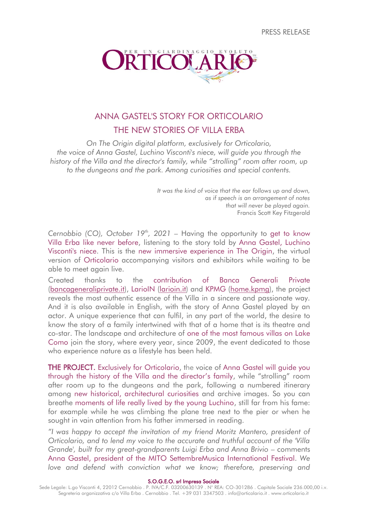PRESS RELEASE



# ANNA GASTEL'S STORY FOR ORTICOLARIO THE NEW STORIES OF VILLA ERBA

*On The Origin digital platform, exclusively for Orticolario, the voice of Anna Gastel, Luchino Visconti's niece, will guide you through the history of the Villa and the director's family, while "strolling" room after room, up to the dungeons and the park. Among curiosities and special contents.*

> *It was the kind of voice that the ear follows up and down, as if speech is an arrangement of notes that will never be played again.* Francis Scott Key Fitzgerald

*Cernobbio (CO), October 19th , 2021* – Having the opportunity to get to know Villa Erba like never before, listening to the story told by Anna Gastel, Luchino Visconti's niece. This is the new immersive experience in The Origin, the virtual version of Orticolario accompanying visitors and exhibitors while waiting to be able to meet again live.

Created thanks to the contribution of Banca Generali Private [\(bancageneraliprivate.it\)](http://www.bancageneraliprivate.it/), LarioIN [\(larioin.it\)](http://www.larioin.it/) and KPMG [\(home.kpmg\)](https://home.kpmg/), the project reveals the most authentic essence of the Villa in a sincere and passionate way. And it is also available in English, with the story of Anna Gastel played by an actor. A unique experience that can fulfil, in any part of the world, the desire to know the story of a family intertwined with that of a home that is its theatre and co-star. The landscape and architecture of one of the most famous villas on Lake Como join the story, where every year, since 2009, the event dedicated to those who experience nature as a lifestyle has been held.

THE PROJECT. Exclusively for Orticolario, the voice of Anna Gastel will quide you through the history of the Villa and the director's family, while "strolling" room after room up to the dungeons and the park, following a numbered itinerary among new historical, architectural curiosities and archive images. So you can breathe moments of life really lived by the young Luchino, still far from his fame: for example while he was climbing the plane tree next to the pier or when he sought in vain attention from his father immersed in reading.

*"I was happy to accept the invitation of my friend Moritz Mantero, president of Orticolario, and to lend my voice to the accurate and truthful account of the 'Villa Grande', built for my great-grandparents Luigi Erba and Anna Brivio* – comments Anna Gastel, president of the MITO SettembreMusica International Festival. *We love and defend with conviction what we know; therefore, preserving and* 

S.O.G.E.O. srl Impresa Sociale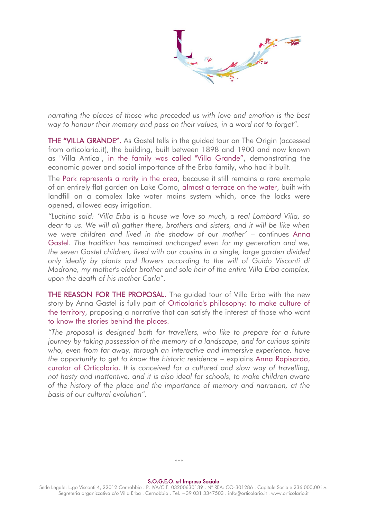*narrating the places of those who preceded us with love and emotion is the best* way to honour their memory and pass on their values, in a word not to forget".

THE "VILLA GRANDE". As Gastel tells in the quided tour on The Origin (accessed from orticolario.it), the building, built between 1898 and 1900 and now known as "Villa Antica", in the family was called "Villa Grande", demonstrating the economic power and social importance of the Erba family, who had it built.

The Park represents a rarity in the area, because it still remains a rare example of an entirely flat garden on Lake Como, almost a terrace on the water, built with landfill on a complex lake water mains system which, once the locks were opened, allowed easy irrigation.

*"Luchino said: 'Villa Erba is a house we love so much, a real Lombard Villa, so dear to us. We will all gather there, brothers and sisters, and it will be like when we were children and lived in the shadow of our mother'* – continues Anna Gastel. *The tradition has remained unchanged even for my generation and we, the seven Gastel children, lived with our cousins in a single, large garden divided only ideally by plants and flowers according to the will of Guido Visconti di Modrone, my mother's elder brother and sole heir of the entire Villa Erba complex, upon the death of his mother Carla".*

THE REASON FOR THE PROPOSAL. The guided tour of Villa Erba with the new story by Anna Gastel is fully part of Orticolario's philosophy: to make culture of the territory, proposing a narrative that can satisfy the interest of those who want to know the stories behind the places.

*"The proposal is designed both for travellers, who like to prepare for a future journey by taking possession of the memory of a landscape, and for curious spirits who, even from far away, through an interactive and immersive experience, have the opportunity to get to know the historic residence* – explains Anna Rapisarda, curator of Orticolario. *It is conceived for a cultured and slow way of travelling, not hasty and inattentive, and it is also ideal for schools, to make children aware of the history of the place and the importance of memory and narration, at the basis of our cultural evolution".*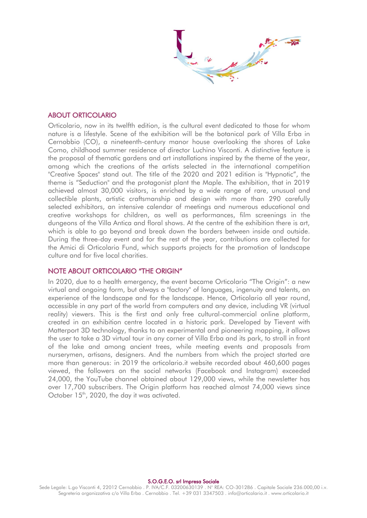### ABOUT ORTICOLARIO

Orticolario, now in its twelfth edition, is the cultural event dedicated to those for whom nature is a lifestyle. Scene of the exhibition will be the botanical park of Villa Erba in Cernobbio (CO), a nineteenth-century manor house overlooking the shores of Lake Como, childhood summer residence of director Luchino Visconti. A distinctive feature is the proposal of thematic gardens and art installations inspired by the theme of the year, among which the creations of the artists selected in the international competition "Creative Spaces" stand out. The title of the 2020 and 2021 edition is "Hypnotic", the theme is "Seduction" and the protagonist plant the Maple. The exhibition, that in 2019 achieved almost 30,000 visitors, is enriched by a wide range of rare, unusual and collectible plants, artistic craftsmanship and design with more than 290 carefully selected exhibitors, an intensive calendar of meetings and numerous educational and creative workshops for children, as well as performances, film screenings in the dungeons of the Villa Antica and floral shows. At the centre of the exhibition there is art, which is able to go beyond and break down the borders between inside and outside. During the three-day event and for the rest of the year, contributions are collected for the Amici di Orticolario Fund, which supports projects for the promotion of landscape culture and for five local charities.

### NOTE ABOUT ORTICOLARIO "THE ORIGIN"

In 2020, due to a health emergency, the event became Orticolario "The Origin": a new virtual and ongoing form, but always a "factory" of languages, ingenuity and talents, an experience of the landscape and for the landscape. Hence, Orticolario all year round, accessible in any part of the world from computers and any device, including VR (virtual reality) viewers. This is the first and only free cultural-commercial online platform, created in an exhibition centre located in a historic park. Developed by Tievent with Matterport 3D technology, thanks to an experimental and pioneering mapping, it allows the user to take a 3D virtual tour in any corner of Villa Erba and its park, to stroll in front of the lake and among ancient trees, while meeting events and proposals from nurserymen, artisans, designers. And the numbers from which the project started are more than generous: in 2019 the orticolario.it website recorded about 460,600 pages viewed, the followers on the social networks (Facebook and Instagram) exceeded 24,000, the YouTube channel obtained about 129,000 views, while the newsletter has over 17,700 subscribers. The Origin platform has reached almost 74,000 views since October 15<sup>th</sup>, 2020, the day it was activated.